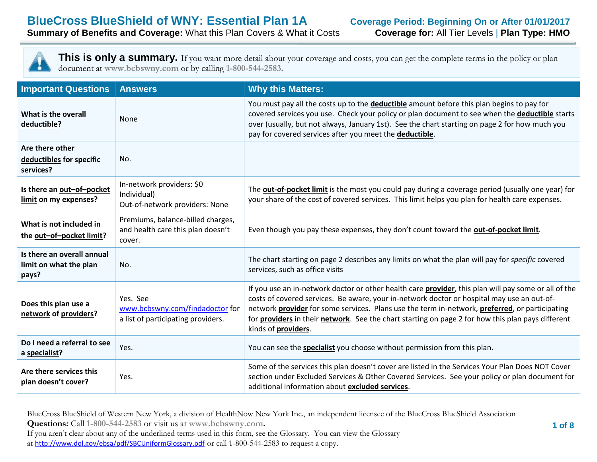

This is only a summary. If you want more detail about your coverage and costs, you can get the complete terms in the policy or plan document at **www.bcbswny.com** or by calling **1-800-544-2583**.

| <b>Important Questions</b>                                    | <b>Answers</b>                                                                    | <b>Why this Matters:</b>                                                                                                                                                                                                                                                                                                                                                                                                                        |  |
|---------------------------------------------------------------|-----------------------------------------------------------------------------------|-------------------------------------------------------------------------------------------------------------------------------------------------------------------------------------------------------------------------------------------------------------------------------------------------------------------------------------------------------------------------------------------------------------------------------------------------|--|
| What is the overall<br>deductible?                            | None                                                                              | You must pay all the costs up to the <b>deductible</b> amount before this plan begins to pay for<br>covered services you use. Check your policy or plan document to see when the deductible starts<br>over (usually, but not always, January 1st). See the chart starting on page 2 for how much you<br>pay for covered services after you meet the deductible.                                                                                 |  |
| Are there other<br>deductibles for specific<br>services?      | No.                                                                               |                                                                                                                                                                                                                                                                                                                                                                                                                                                 |  |
| Is there an out-of-pocket<br>limit on my expenses?            | In-network providers: \$0<br>Individual)<br>Out-of-network providers: None        | The <b>out-of-pocket limit</b> is the most you could pay during a coverage period (usually one year) for<br>your share of the cost of covered services. This limit helps you plan for health care expenses.                                                                                                                                                                                                                                     |  |
| What is not included in<br>the out-of-pocket limit?           | Premiums, balance-billed charges,<br>and health care this plan doesn't<br>cover.  | Even though you pay these expenses, they don't count toward the out-of-pocket limit.                                                                                                                                                                                                                                                                                                                                                            |  |
| Is there an overall annual<br>limit on what the plan<br>pays? | No.                                                                               | The chart starting on page 2 describes any limits on what the plan will pay for specific covered<br>services, such as office visits                                                                                                                                                                                                                                                                                                             |  |
| Does this plan use a<br>network of providers?                 | Yes. See<br>www.bcbswny.com/findadoctor for<br>a list of participating providers. | If you use an in-network doctor or other health care <b>provider</b> , this plan will pay some or all of the<br>costs of covered services. Be aware, your in-network doctor or hospital may use an out-of-<br>network provider for some services. Plans use the term in-network, preferred, or participating<br>for <b>providers</b> in their network. See the chart starting on page 2 for how this plan pays different<br>kinds of providers. |  |
| Do I need a referral to see<br>a specialist?                  | Yes.                                                                              | You can see the <b>specialist</b> you choose without permission from this plan.                                                                                                                                                                                                                                                                                                                                                                 |  |
| Are there services this<br>plan doesn't cover?                | Yes.                                                                              | Some of the services this plan doesn't cover are listed in the Services Your Plan Does NOT Cover<br>section under Excluded Services & Other Covered Services. See your policy or plan document for<br>additional information about excluded services.                                                                                                                                                                                           |  |

BlueCross BlueShield of Western New York, a division of HealthNow New York Inc., an independent licensee of the BlueCross BlueShield Association

**Questions:** Call **1-800-544-2583** or visit us at **www.bcbswny.com.**

If you aren't clear about any of the underlined terms used in this form, see the Glossary. You can view the Glossary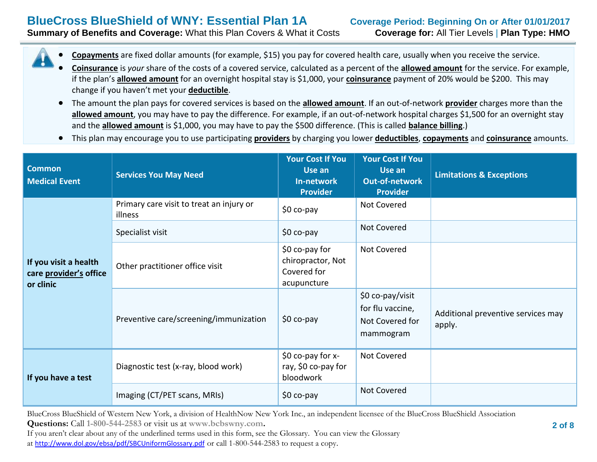# **BlueCross BlueShield of WNY: Essential Plan 1A Coverage Period: Beginning On or After 01/01/2017**

**Summary of Benefits and Coverage:** What this Plan Covers & What it Costs **Coverage for:** All Tier Levels | **Plan Type: HMO**

- **Copayments** are fixed dollar amounts (for example, \$15) you pay for covered health care, usually when you receive the service.
- **Coinsurance** is *your* share of the costs of a covered service, calculated as a percent of the **allowed amount** for the service. For example, if the plan's **allowed amount** for an overnight hospital stay is \$1,000, your **coinsurance** payment of 20% would be \$200. This may change if you haven't met your **deductible**.
- The amount the plan pays for covered services is based on the **allowed amount**. If an out-of-network **provider** charges more than the allowed amount, you may have to pay the difference. For example, if an out-of-network hospital charges \$1,500 for an overnight stay and the **allowed amount** is \$1,000, you may have to pay the \$500 difference. (This is called **balance billing**.)
- This plan may encourage you to use participating **providers** by charging you lower **deductibles**, **copayments** and **coinsurance** amounts.

| <b>Common</b><br><b>Medical Event</b>                        | <b>Services You May Need</b>                        | <b>Your Cost If You</b><br>Use an<br>In-network<br><b>Provider</b> | <b>Your Cost If You</b><br>Use an<br><b>Out-of-network</b><br><b>Provider</b> | <b>Limitations &amp; Exceptions</b>          |
|--------------------------------------------------------------|-----------------------------------------------------|--------------------------------------------------------------------|-------------------------------------------------------------------------------|----------------------------------------------|
| If you visit a health<br>care provider's office<br>or clinic | Primary care visit to treat an injury or<br>illness | \$0 co-pay                                                         | Not Covered                                                                   |                                              |
|                                                              | Specialist visit                                    | $$0 co-pay$                                                        | Not Covered                                                                   |                                              |
|                                                              | Other practitioner office visit                     | $$0$ co-pay for<br>chiropractor, Not<br>Covered for<br>acupuncture | Not Covered                                                                   |                                              |
|                                                              | Preventive care/screening/immunization              | $$0 co-pay$                                                        | \$0 co-pay/visit<br>for flu vaccine,<br>Not Covered for<br>mammogram          | Additional preventive services may<br>apply. |
| If you have a test                                           | Diagnostic test (x-ray, blood work)                 | \$0 co-pay for x-<br>ray, \$0 co-pay for<br>bloodwork              | Not Covered                                                                   |                                              |
|                                                              | Imaging (CT/PET scans, MRIs)                        | $$0 co-pay$                                                        | Not Covered                                                                   |                                              |

BlueCross BlueShield of Western New York, a division of HealthNow New York Inc., an independent licensee of the BlueCross BlueShield Association

**Questions:** Call **1-800-544-2583** or visit us at **www.bcbswny.com.**

If you aren't clear about any of the underlined terms used in this form, see the Glossary. You can view the Glossary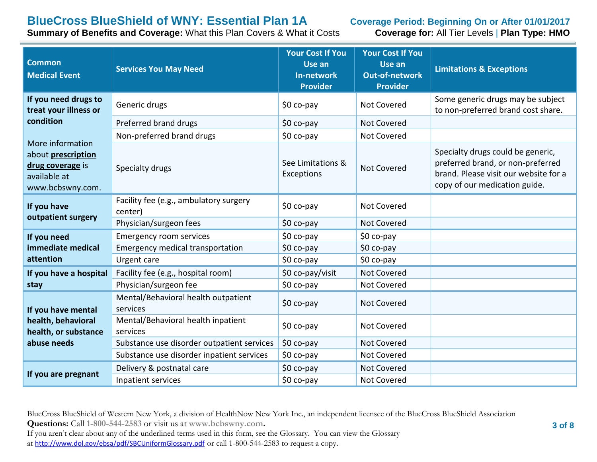# **BlueCross BlueShield of WNY: Essential Plan 1A Coverage Period: Beginning On or After 01/01/2017**<br> **Summary of Benefits and Coverage:** What this Plan Covers & What it Costs **Coverage for: All Tier Levels | Plan Type: HM**

**Summary of Benefits and Coverage: What this Plan Covers & What it Costs** 

| <b>Common</b><br><b>Medical Event</b>                                                                 | <b>Services You May Need</b>                      | <b>Your Cost If You</b><br>Use an<br><b>In-network</b><br><b>Provider</b> | <b>Your Cost If You</b><br>Use an<br><b>Out-of-network</b><br><b>Provider</b> | <b>Limitations &amp; Exceptions</b>                                                                                                              |
|-------------------------------------------------------------------------------------------------------|---------------------------------------------------|---------------------------------------------------------------------------|-------------------------------------------------------------------------------|--------------------------------------------------------------------------------------------------------------------------------------------------|
| If you need drugs to<br>treat your illness or                                                         | Generic drugs                                     | $$0 co-pay$                                                               | Not Covered                                                                   | Some generic drugs may be subject<br>to non-preferred brand cost share.                                                                          |
| condition                                                                                             | Preferred brand drugs                             | \$0 co-pay                                                                | <b>Not Covered</b>                                                            |                                                                                                                                                  |
|                                                                                                       | Non-preferred brand drugs                         | \$0 co-pay                                                                | Not Covered                                                                   |                                                                                                                                                  |
| More information<br>about <b>prescription</b><br>drug coverage is<br>available at<br>www.bcbswny.com. | Specialty drugs                                   | See Limitations &<br>Exceptions                                           | <b>Not Covered</b>                                                            | Specialty drugs could be generic,<br>preferred brand, or non-preferred<br>brand. Please visit our website for a<br>copy of our medication guide. |
| If you have<br>outpatient surgery                                                                     | Facility fee (e.g., ambulatory surgery<br>center) | \$0 co-pay                                                                | Not Covered                                                                   |                                                                                                                                                  |
|                                                                                                       | Physician/surgeon fees                            | \$0 co-pay                                                                | Not Covered                                                                   |                                                                                                                                                  |
| If you need                                                                                           | <b>Emergency room services</b>                    | \$0 co-pay                                                                | \$0 co-pay                                                                    |                                                                                                                                                  |
| immediate medical                                                                                     | Emergency medical transportation                  | \$0 co-pay                                                                | \$0 co-pay                                                                    |                                                                                                                                                  |
| attention                                                                                             | Urgent care                                       | \$0 co-pay                                                                | \$0 co-pay                                                                    |                                                                                                                                                  |
| If you have a hospital                                                                                | Facility fee (e.g., hospital room)                | \$0 co-pay/visit                                                          | <b>Not Covered</b>                                                            |                                                                                                                                                  |
| stay                                                                                                  | Physician/surgeon fee                             | \$0 co-pay                                                                | Not Covered                                                                   |                                                                                                                                                  |
| If you have mental                                                                                    | Mental/Behavioral health outpatient<br>services   | \$0 co-pay                                                                | Not Covered                                                                   |                                                                                                                                                  |
| health, behavioral<br>health, or substance                                                            | Mental/Behavioral health inpatient<br>services    | $$0 co-pay$                                                               | <b>Not Covered</b>                                                            |                                                                                                                                                  |
| abuse needs                                                                                           | Substance use disorder outpatient services        | \$0 co-pay                                                                | <b>Not Covered</b>                                                            |                                                                                                                                                  |
|                                                                                                       | Substance use disorder inpatient services         | \$0 co-pay                                                                | Not Covered                                                                   |                                                                                                                                                  |
| If you are pregnant                                                                                   | Delivery & postnatal care                         | \$0 co-pay                                                                | <b>Not Covered</b>                                                            |                                                                                                                                                  |
|                                                                                                       | Inpatient services                                | \$0 co-pay                                                                | Not Covered                                                                   |                                                                                                                                                  |

BlueCross BlueShield of Western New York, a division of HealthNow New York Inc., an independent licensee of the BlueCross BlueShield Association

**Questions:** Call **1-800-544-2583** or visit us at **www.bcbswny.com.**

If you aren't clear about any of the underlined terms used in this form, see the Glossary. You can view the Glossary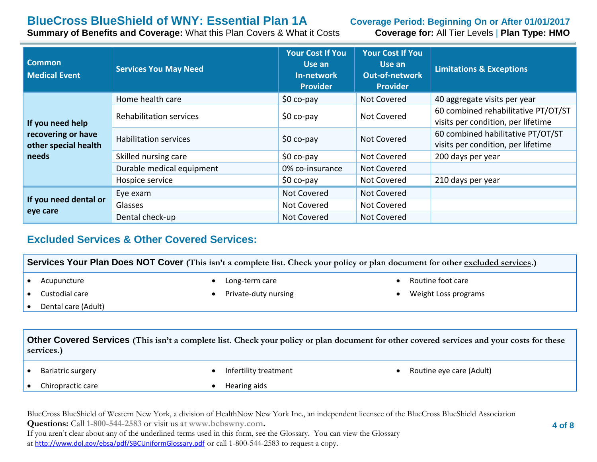# **BlueCross BlueShield of WNY: Essential Plan 1A Coverage Period: Beginning On or After 01/01/2017**<br> **Summary of Benefits and Coverage:** What this Plan Covers & What it Costs **Coverage for: All Tier Levels | Plan Type: HM**

**Summary of Benefits and Coverage: What this Plan Covers & What it Costs** 

| <b>Common</b><br><b>Medical Event</b>                                   | <b>Services You May Need</b>   | <b>Your Cost If You</b><br>Use an<br>In-network<br><b>Provider</b> | <b>Your Cost If You</b><br>Use an<br><b>Out-of-network</b><br><b>Provider</b> | <b>Limitations &amp; Exceptions</b>                                       |
|-------------------------------------------------------------------------|--------------------------------|--------------------------------------------------------------------|-------------------------------------------------------------------------------|---------------------------------------------------------------------------|
| If you need help<br>recovering or have<br>other special health<br>needs | Home health care               | $$0 co-pay$                                                        | Not Covered                                                                   | 40 aggregate visits per year                                              |
|                                                                         | <b>Rehabilitation services</b> | $$0 co-pay$                                                        | Not Covered                                                                   | 60 combined rehabilitative PT/OT/ST<br>visits per condition, per lifetime |
|                                                                         | <b>Habilitation services</b>   | $$0 co-pay$                                                        | Not Covered                                                                   | 60 combined habilitative PT/OT/ST<br>visits per condition, per lifetime   |
|                                                                         | Skilled nursing care           | $$0 co-pay$                                                        | Not Covered                                                                   | 200 days per year                                                         |
|                                                                         | Durable medical equipment      | 0% co-insurance                                                    | Not Covered                                                                   |                                                                           |
|                                                                         | Hospice service                | $$0 co-pay$                                                        | Not Covered                                                                   | 210 days per year                                                         |
| If you need dental or<br>eye care                                       | Eye exam                       | Not Covered                                                        | Not Covered                                                                   |                                                                           |
|                                                                         | Glasses                        | Not Covered                                                        | Not Covered                                                                   |                                                                           |
|                                                                         | Dental check-up                | Not Covered                                                        | Not Covered                                                                   |                                                                           |

#### **Excluded Services & Other Covered Services:**

**Services Your Plan Does NOT Cover** (This isn't a complete list. Check your policy or plan document for other excluded services.) • Acupuncture Custodial care Dental care (Adult) Long-term care Private-duty nursing Routine foot care Weight Loss programs **Other Covered Services (This isn't a complete list. Check your policy or plan document for other covered services and your costs for these services.)**

• Bariatric surgery

Infertility treatment

Chiropractic care

Hearing aids

• Routine eye care (Adult)

BlueCross BlueShield of Western New York, a division of HealthNow New York Inc., an independent licensee of the BlueCross BlueShield Association **Questions:** Call **1-800-544-2583** or visit us at **www.bcbswny.com.**

If you aren't clear about any of the underlined terms used in this form, see the Glossary. You can view the Glossary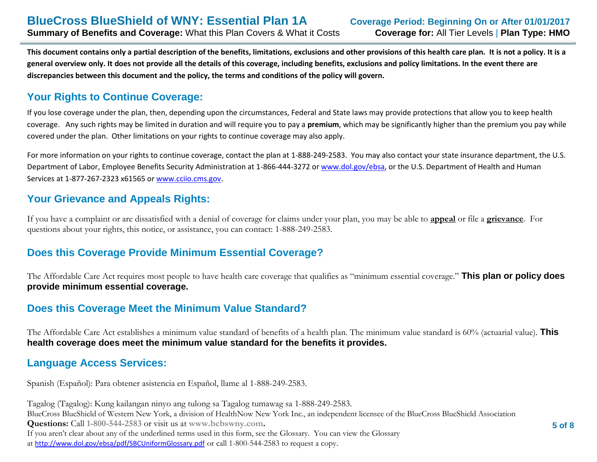**This document contains only a partial description of the benefits, limitations, exclusions and other provisions of this health care plan. It is not a policy. It is a general overview only. It does not provide all the details of this coverage, including benefits, exclusions and policy limitations. In the event there are discrepancies between this document and the policy, the terms and conditions of the policy will govern.**

### **Your Rights to Continue Coverage:**

If you lose coverage under the plan, then, depending upon the circumstances, Federal and State laws may provide protections that allow you to keep health coverage. Any such rights may be limited in duration and will require you to pay a **premium**, which may be significantly higher than the premium you pay while covered under the plan. Other limitations on your rights to continue coverage may also apply.

For more information on your rights to continue coverage, contact the plan at 1-888-249-2583. You may also contact your state insurance department, the U.S. Department of Labor, Employee Benefits Security Administration at 1-866-444-3272 or [www.dol.gov/ebsa,](http://www.dol.gov/ebsa) or the U.S. Department of Health and Human Services at 1-877-267-2323 x61565 o[r www.cciio.cms.gov.](http://www.cciio.cms.gov/)

#### **Your Grievance and Appeals Rights:**

If you have a complaint or are dissatisfied with a denial of coverage for claims under your plan, you may be able to **appeal** or file a **grievance**. For questions about your rights, this notice, or assistance, you can contact: 1-888-249-2583.

#### **Does this Coverage Provide Minimum Essential Coverage?**

The Affordable Care Act requires most people to have health care coverage that qualifies as "minimum essential coverage." **This plan or policy does provide minimum essential coverage.**

#### **Does this Coverage Meet the Minimum Value Standard?**

The Affordable Care Act establishes a minimum value standard of benefits of a health plan. The minimum value standard is 60% (actuarial value). **This health coverage does meet the minimum value standard for the benefits it provides.**

#### **Language Access Services:**

Spanish (Español): Para obtener asistencia en Español, llame al 1-888-249-2583.

BlueCross BlueShield of Western New York, a division of HealthNow New York Inc., an independent licensee of the BlueCross BlueShield Association **Questions:** Call **1-800-544-2583** or visit us at **www.bcbswny.com.** If you aren't clear about any of the underlined terms used in this form, see the Glossary. You can view the Glossary at <http://www.dol.gov/ebsa/pdf/SBCUniformGlossary.pdf> or call 1-800-544-2583 to request a copy. Tagalog (Tagalog): Kung kailangan ninyo ang tulong sa Tagalog tumawag sa 1-888-249-2583.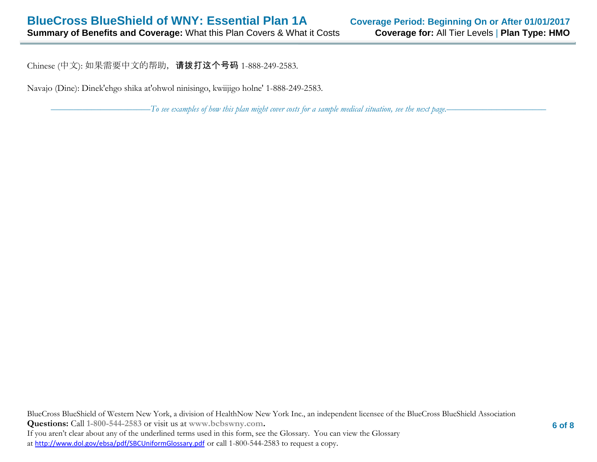Chinese (中文): 如果需要中文的帮助, 请拨打这个号码 1-888-249-2583.

Navajo (Dine): Dinek'ehgo shika at'ohwol ninisingo, kwiijigo holne' 1-888-249-2583.

––––––––––––––––––––––*To see examples of how this plan might cover costs for a sample medical situation, see the next page.–––––––––––*–––––––––––

BlueCross BlueShield of Western New York, a division of HealthNow New York Inc., an independent licensee of the BlueCross BlueShield Association **Questions:** Call **1-800-544-2583** or visit us at **www.bcbswny.com.** If you aren't clear about any of the underlined terms used in this form, see the Glossary. You can view the Glossary at <http://www.dol.gov/ebsa/pdf/SBCUniformGlossary.pdf> or call 1-800-544-2583 to request a copy.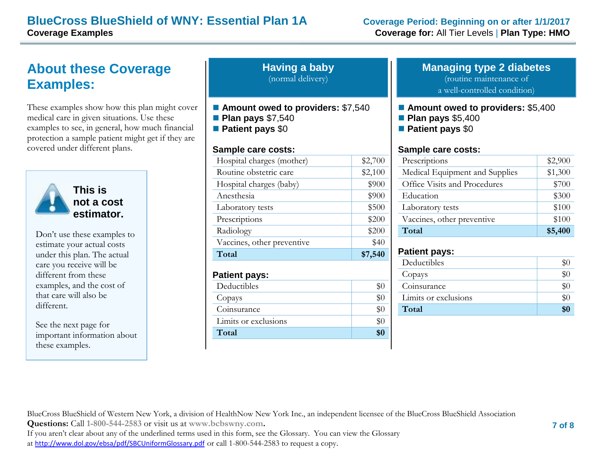#### **BlueCross BlueShield of WNY: Essential Plan 1A Coverage Period: Beginning on or after 1/1/2017 Coverage Examples Coverage for:** All Tier Levels | **Plan Type: HMO**

# **About these Coverage Examples:**

These examples show how this plan might cover medical care in given situations. Use these examples to see, in general, how much financial protection a sample patient might get if they are covered under different plans.



**This is not a cost estimator.** 

Don't use these examples to estimate your actual costs under this plan. The actual care you receive will be different from these examples, and the cost of that care will also be different.

See the next page for important information about these examples.

| <b>Having a baby</b> |  |
|----------------------|--|
| (normal delivery)    |  |

- Amount owed to providers: \$7,540
- **Plan pays** \$7,540
- **Patient pays** \$0

#### **Sample care costs:**

| Total                      | \$7,540 |
|----------------------------|---------|
| Vaccines, other preventive | \$40    |
| Radiology                  | \$200   |
| Prescriptions              | \$200   |
| Laboratory tests           | \$500   |
| Anesthesia                 | \$900   |
| Hospital charges (baby)    | \$900   |
| Routine obstetric care     | \$2,100 |
| Hospital charges (mother)  | \$2,700 |
|                            |         |

#### **Patient pays:**

| Deductibles          |  |
|----------------------|--|
| Copays               |  |
| Coinsurance          |  |
| Limits or exclusions |  |
| Total                |  |

#### **Managing type 2 diabetes** (routine maintenance of a well-controlled condition)

- **Amount owed to providers: \$5,400**
- **Plan pays** \$5,400
- **Patient pays** \$0

#### **Sample care costs:**

| Prescriptions                  | \$2,900 |
|--------------------------------|---------|
| Medical Equipment and Supplies | \$1,300 |
| Office Visits and Procedures   | \$700   |
| Education                      | \$300   |
| Laboratory tests               | \$100   |
| Vaccines, other preventive     | \$100   |
| Total                          | \$5,400 |

#### **Patient pays:**

BlueCross BlueShield of Western New York, a division of HealthNow New York Inc., an independent licensee of the BlueCross BlueShield Association

**Questions:** Call **1-800-544-2583** or visit us at **www.bcbswny.com.**

If you aren't clear about any of the underlined terms used in this form, see the Glossary. You can view the Glossary